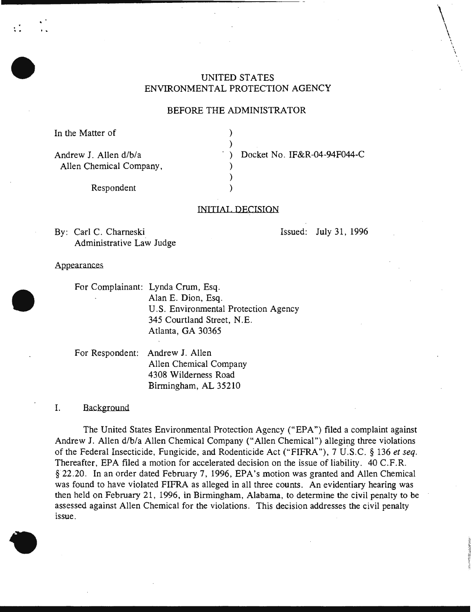# UNITED STATES ENVIRONMENTAL PROTECTION AGENCY

### BEFORE THE ADMINISTRATOR

) )

) )

In the Matter of

..

Andrew J. Allen d/b/a Allen Chemical Company, ) Docket No. IF&R-04-94F044-C

Respondent )

#### INITIAl. DECISION

By: Carl C. Chameski Administrative Law Judge Issued: July 31, 1996

 $\setminus$ 

 $\bigwedge$ I \ \

Appearances

For Complainant: Lynda Crum, Esq. Alan E. Dion, Esq. U.S. Environmental Protection Agency 345 Courtland Street, N.E. Atlanta, GA 30365

For Respondent: Andrew J. Allen Allen Chemical Company 4308 Wilderness Road Birmingham, AL 35210

I. Background

The United States Environmental Protection Agency ("EPA") filed a complaint against Andrew J. Allen d/b/a Allen Chemical Company ("Allen Chemical") alleging three violations of the Federal Insecticide, Fungicide, and Rodenticide Act ("FIFRA"), 7 U.S.C. § 136 *et seq.*  Thereafter, EPA filed a motion for accelerated decision on the issue of liability. 40 C.F.R. § 22.20. In an order dated February 7, 1996, EPA's motion was granted and Allen Chemical was found to have violated FIFRA as alleged in all three counts. An evidentiary hearing was then held on February 21, 1996, in Birmingham, Alabama, to determine the civil penalty to be assessed against Allen Chemical for the violations. This decision addresses the civil penalty issue.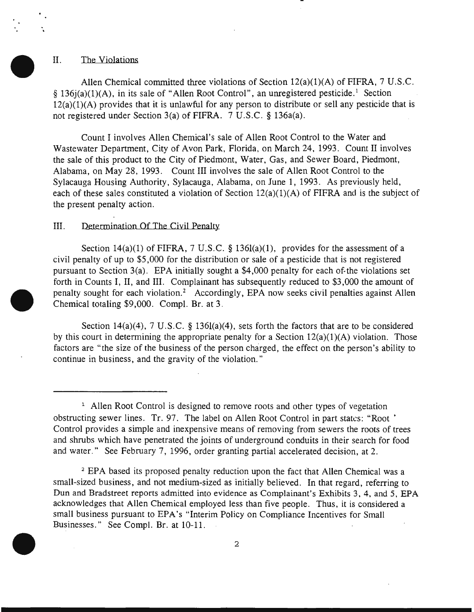#### II. The Violations

. .

> Allen Chemical committed three violations of Section 12(a)(1)(A) of FIFRA, 7 U.S.C. § 136 $j(a)(1)(A)$ , in its sale of "Allen Root Control", an unregistered pesticide.<sup>1</sup> Section 12(a)(1)(A) provides that it is unlawful for any person to distribute or sell any pesticide that is not registered under Section 3(a) of FIFRA. 7 U.S.C. § 136a(a).

Count I involves Allen Chemical's sale of Allen Root Control to the Water and Wastewater Department, City of Avon Park, Florida, on March 24, 1993. Count II involves the sale of this product to the City of Piedmont, Water, Gas, and Sewer Board, Piedmont, Alabama, on May 28, 1993. Count III involves the sale of Allen Root Control to the Sylacauga Housing Authority, Sylacauga, Alabama, on June 1, 1993. As previously held, each of these sales constituted a violation of Section  $12(a)(1)(A)$  of FIFRA and is the subject of the present penalty action.

### III. Determination Of The Civil Penalty

Section 14(a)(1) of FIFRA, 7 U.S.C. § 136l(a)(1), provides for the assessment of a civil penalty of up to \$5,000 for the distribution or sale of a pesticide that is not registered pursuant to Section 3(a). EPA initially sought a \$4,000 penalty for each of-the violations set forth in Counts I, II, and III. Complainant has subsequently reduced to \$3,000 the amount of penalty sought for each violation.<sup>2</sup> Accordingly, EPA now seeks civil penalties against Allen Chemical totaling \$9,000. Compl. Br. at 3.

Section 14(a)(4), 7 U.S.C. § 136l(a)(4), sets forth the factors that are to be considered by this court in determining the appropriate penalty for a Section  $12(a)(1)(A)$  violation. Those factors are "the size of the business of the person charged, the effect on the person's ability to continue in business, and the gravity of the violation."

<sup>2</sup> EPA based its proposed penalty reduction upon the fact that Allen Chemical was a small-sized business, and not medium-sized as initially believed. In that regard, referring to Dun and Bradstreet reports admitted into evidence as Complainant's Exhibits 3, 4, and 5, EPA acknowledges that Allen Chemical employed less than five people. Thus, it is considered a small business pursuant to EPA's "Interim Policy on Compliance Incentives for Small Businesses." See Compl. Br. at 10-11.



<sup>&</sup>lt;sup>1</sup> Allen Root Control is designed to remove roots and other types of vegetation obstructing sewer lines. Tr. 97. The label on Allen Root Control in part states: "Root • Control provides a simple and inexpensive means of removing from sewers the roots of trees and shrubs which have penetrated the joints of underground conduits in their search for food and water." See February 7, 1996, order granting partial accelerated decision, at 2.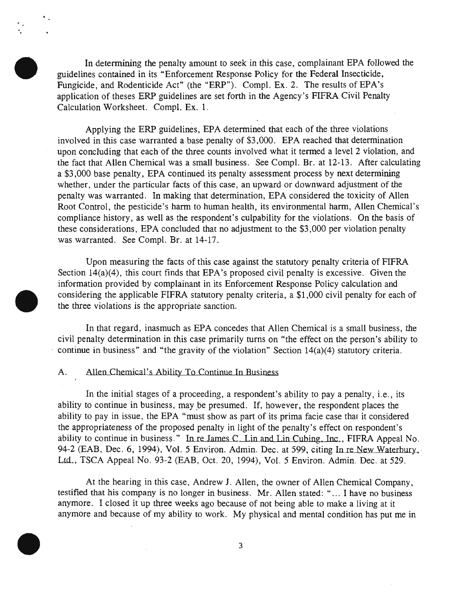In determining the penalty amount to seek in this case, complainant EPA followed the guidelines contained in its "Enforcement Response Policy for the Federal Insecticide, Fungicide, and Rodenticide Act" (the "ERP"). Compl. Ex. 2. The results of EPA's application of theses ERP guidelines are set forth in the Agency's FIFRA Civil Penalty Calculation Worksheet. Compl. Ex. 1.

Applying the ERP guidelines, EPA determined that each of the three violations involved in this case warranted a base penalty of \$3,000. EPA reached that determination upon concluding that each of the three counts involved what it termed a level 2 violation, and the fact that Allen Chemical was a small business. See Compl. Br. at 12-13. After calculating a \$3,000 base penalty, EPA continued its penalty assessment process by next determining whether, under the particular facts of this case, an upward or downward adjustment of the penalty was warranted. In making that determination, EPA considered the toxicity of Allen Root Control, the pesticide's harm to human health, its environmental harm, Allen Chemical's compliance history, as well as the respondent's culpability for the violations. On the basis of these considerations, EPA concluded that no adjustment to the \$3,000 per violation penalty was warranted. See Compl. Br. at 14-17.

Upon measuring the facts of this case against the statutory penalty criteria of FIFRA Section 14(a)(4), this court finds that EPA's proposed civil penalty is excessive. Given the information provided by complainant in its Enforcement Response Policy calculation and considering the applicable FIFRA statutory penalty criteria, a \$1,000 civil penalty for each of the three violations is the appropriate sanction.

In that regard, inasmuch as EPA concedes that Allen Chemical is a small business, the civil penalty determination in this case primarily turns on "the effect on the person's ability to continue in business" and "the gravity of the violation" Section  $14(a)(4)$  statutory criteria.

#### A. Allen Chemical's Ability To Continue In Business

In the initial stages of a proceeding, a respondent's ability to pay a penalty, *i.e.*, its ability to continue in business, may be presumed. If, however, the respondent places the ability to pay in issue, the EPA "must show as part of its prima facie case that it considered the appropriateness of the proposed penalty in light of the penalty's effect on respondent's ability to continue in business." In re James C Lin and Lin Cubing, Inc , FIFRA Appeal No. 94-2 (EAB, Dec. 6, 1994), Vol. 5 Environ. Admin. Dec. at 599, citing In re New Waterbury, Ltd.., TSCA Appeal No. 93-2 (EAB, Oct. 20, 1994), Vol. 5 Environ. Admin. Dec. at 529.

At the hearing in this case, Andrew J. Allen, the owner of Allen Chemical Company, testified that his company is no longer in business. Mr. Allen stated: " ... I have no business anymore. I closed it up three weeks ago because of not being able to make a living at it anymore and because of my ability to work. My physical and mental condition has put me in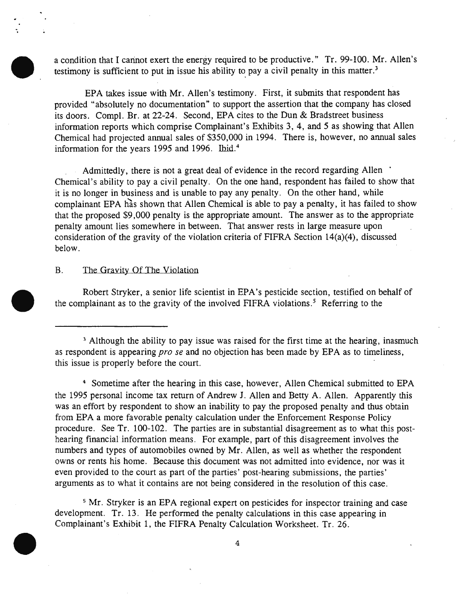a condition that I cannot exert the energy required to be productive." Tr. 99-100. Mr. Allen's testimony is sufficient to put in issue his ability to pay a civil penalty in this matter.<sup>3</sup>

EPA takes issue with Mr. Allen's testimony. First, it submits that respondent has provided "absolutely no documentation" to support the assertion that the company has closed its doors. Compl. Br. at 22-24. Second, EPA cites to the Dun & Bradstreet business information reports which comprise Complainant's Exhibits 3, 4, and 5 as showing that Allen Chemical had projected annual sales of \$350,000 in 1994. There is, however, no annual sales information for the years 1995 and 1996. Ibid.<sup>4</sup>

Admittedly, there is not a great deal of evidence in the record regarding Allen Chemical's ability to pay a civil penalty. On the one hand, respondent has failed to show that it is no longer in business and is unable to pay any penalty. On the other hand, while complainant EPA has shown that Allen Chemical is able to pay a penalty, it has failed to show that the proposed \$9,000 penalty is the appropriate amount. The answer as to the appropriate penalty amount lies somewhere in between. That answer rests in large measure upon consideration of the gravity of the violation criteria of FIFRA Section 14(a)(4), discussed below.

#### B. The Gravity Of The Violation

-.

Robert Stryker, a senior life scientist in EPA's pesticide section, testified on behalf of the complainant as to the gravity of the involved FIFRA violations.<sup>5</sup> Referring to the

4 Sometime after the hearing in this case, however, Allen Chemical submitted to EPA the 1995 personal income tax return of Andrew J. Allen and Betty A. Allen. Apparently this was an effort by respondent to show an inability to pay the proposed penalty and thus obtain from EPA a more favorable penalty calculation under the Enforcement Response Policy procedure. See Tr. 100-102. The parties are in substantial disagreement as to what this posthearing financial information means. For example, part of this disagreement involves the numbers and types of automobiles owned by Mr. Allen, as well as whether the respondent owns or rents his home. Because this document was not admitted into evidence, nor was it even provided to the court as part of the parties' post-hearing submissions, the parties' arguments as to what it contains are not being considered in the resolution of this case.

<sup>5</sup> Mr. Stryker is an EPA regional expert on pesticides for inspector training and case development. Tr. 13. He performed the penalty calculations in this case appearing in Complainant's Exhibit 1, the FIFRA Penalty Calculation Worksheet. Tr. 26.

4

<sup>&</sup>lt;sup>3</sup> Although the ability to pay issue was raised for the first time at the hearing, inasmuch as respondent is appearing *pro se* and no objection has been made by EPA as to timeliness, this issue is properly before the court.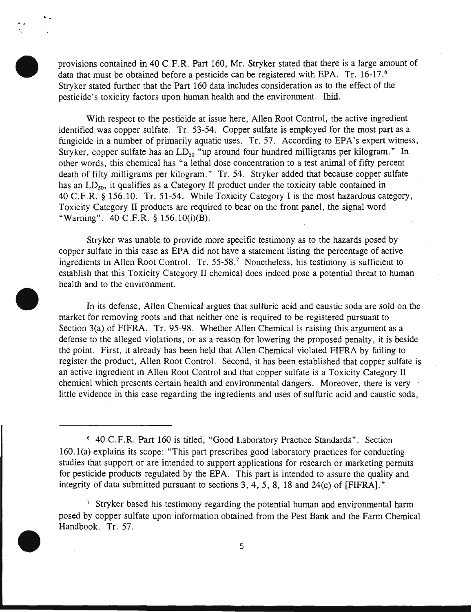provisions contained in 40 C.F.R. Part 160, Mr. Stryker stated that there is a large amount of data that must be obtained before a pesticide can be registered with EPA. Tr. 16-17.<sup>6</sup> Stryker stated further that the Part 160 data includes consideration as to the effect of the pesticide's toxicity factors upon human health and the environment. Ibid.

..

With respect to the pesticide at issue here, Allen Root Control, the active ingredient identified was copper sulfate. Tr. 53-54. Copper sulfate is employed for the most part as a fungicide in a number of primarily aquatic uses. Tr. 57. According to EPA's expert witness, Stryker, copper sulfate has an  $LD_{50}$  "up around four hundred milligrams per kilogram." In other words, this chemical has "a lethal dose concentration to a test animal of fifty percent death of fifty milligrams per kilogram." Tr. 54. Stryker added that because copper sulfate has an  $LD_{50}$ , it qualifies as a Category II product under the toxicity table contained in 40 C.F.R. § 156.10. Tr. 51-54. While Toxicity Category I is the most hazardous category, Toxicity Category II products are required to bear on the front panel, the signal word "Warning". 40 C.F.R. § 156.10(i)(B).

Stryker was unable to provide more specific testimony as to the hazards posed by copper sulfate in this case as EPA did not have a statement listing the percentage of active ingredients in Allen Root Control. Tr. 55-58.<sup>7</sup> Nonetheless, his testimony is sufficient to establish that this Toxicity Category II chemical does indeed pose a potential threat to human health and to the environment.

In its defense, Allen Chemical argues that sulfuric acid and caustic soda are sold on the market for removing roots and that neither one is required to be registered pursuant to Section 3(a) of FIFRA. Tr. 95-98. Whether Allen Chemical is raising this argument as a defense to the alleged violations, or as a reason for lowering the proposed penalty, it is beside the point. First, it already has been held that Allen Chemical violated FIFRA by failing to register the product, Allen Root Control. Second, it has been established that copper sulfate is an active ingredient in Allen Root Control and that copper sulfate is a Toxicity Category II chemical which presents certain health and environmental dangers. Moreover, there is very little evidence in this case regarding the ingredients and uses of sulfuric acid and caustic soda,

<sup>&</sup>lt;sup>7</sup> Stryker based his testimony regarding the potential human and environmental harm posed by copper sulfate upon information obtained from the Pest Bank and the Farm Chemical Handbook. Tr. 57.



<sup>6 40</sup> C.F.R. Part 160 is titled, "Good Laboratory Practice Standards". Section 160.1(a) explains its scope: "This part prescribes good laboratory practices for conducting studies that support or are intended to support applications for research or marketing permits for pesticide products regulated by the EPA. This part is intended to assure the quality and integrity of data submitted pursuant to sections 3, 4, 5, 8, 18 and 24(c) of [FIFRA]. ''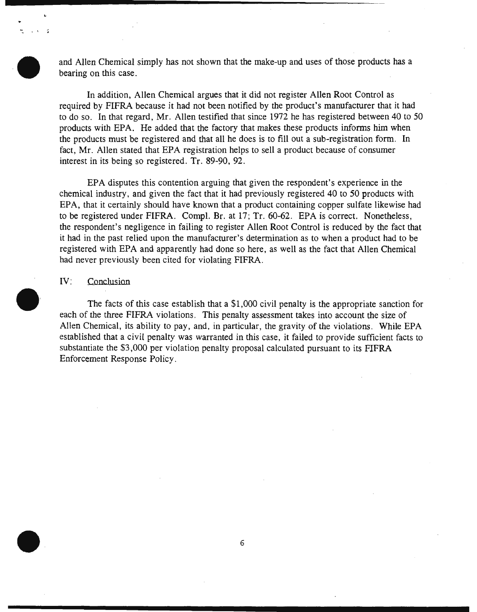and Allen Chemical simply has not shown that the make-up and uses of those products has a bearing on this case.

In addition, Allen Chemical argues that it did not register Allen Root Control as required by FIFRA because it had not been notified by the product's manufacturer that it had to do so. In that regard, Mr. Allen testified that since 1972 he has registered between 40 to 50 products with EPA. He added that the factory that makes these products informs him when the products must be registered and that all he does is to fill out a sub-registration form. In fact, Mr. Allen stated that EPA registration helps to sell a product because of consumer interest in its being so registered. Tr. 89-90, 92.

EPA disputes this contention arguing that given the respondent's experience in the chemical industry, and given the fact that it had previously registered 40 to 50 products with EPA, that it certainly should have known that a product containing copper sulfate likewise had to be registered under FIFRA. Compl. Br. at 17; Tr. 60-62. EPA is correct. Nonetheless, the respondent's negligence in failing to register Allen Root Control is reduced by the fact that it had in the past relied upon the manufacturer's determination as to when a product had to be registered with EPA and apparently had done so here, as well as the fact that Allen Chemical had never previously been cited for violating FIFRA.

### IV: Conclusion

 $\zeta \rightarrow \lambda$ 

The facts of this case establish that a \$1,000 civil penalty is the appropriate sanction for each of the three FIFRA violations. This penalty assessment takes into account the size of Allen Chemical, its ability to pay, and, in particular, the gravity of the violations. While EPA established that a civil penalty was warranted in this case, it failed to provide sufficient facts to substantiate the \$3,000 per violation penalty proposal calculated pursuant to its FIFRA Enforcement Response Policy.